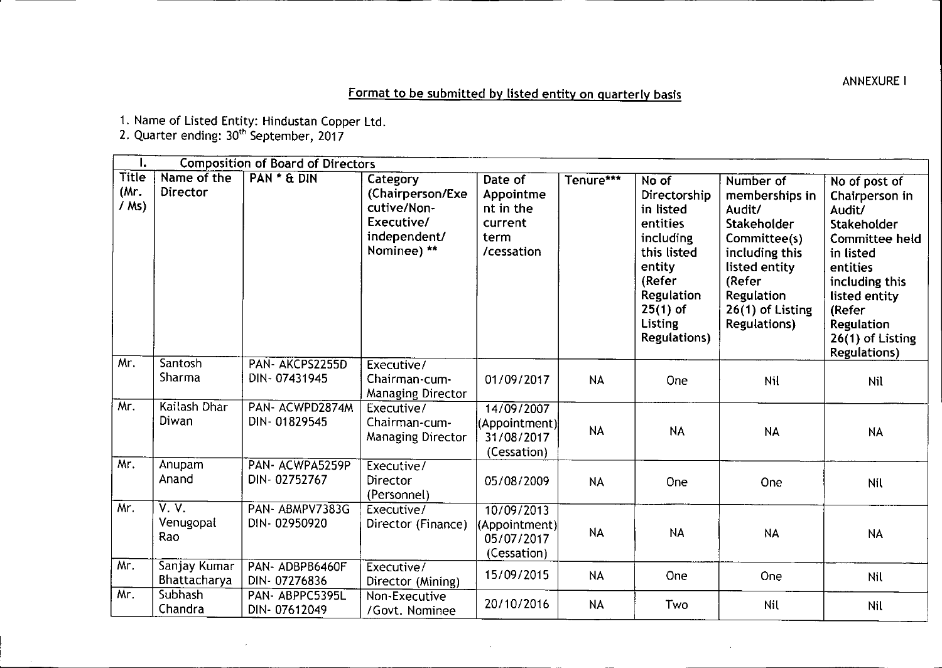## Format to be submitted by listed entity on quarterly basis

1. Name of Listed Entity: Hindustan Copper Ltd.

2. Quarter ending: 30<sup>th</sup> September, 2017

| ı.                              |                              | <b>Composition of Board of Directors</b> |                                                                                          |                                                                    |           |                                                                                                                                                                     |                                                                                                                                                                               |                                                                                                                                                                                                                        |
|---------------------------------|------------------------------|------------------------------------------|------------------------------------------------------------------------------------------|--------------------------------------------------------------------|-----------|---------------------------------------------------------------------------------------------------------------------------------------------------------------------|-------------------------------------------------------------------------------------------------------------------------------------------------------------------------------|------------------------------------------------------------------------------------------------------------------------------------------------------------------------------------------------------------------------|
| <b>Title</b><br>(Mr.<br>$/$ Ms) | Name of the<br>Director      | PAN * & DIN                              | Category<br>(Chairperson/Exe<br>cutive/Non-<br>Executive/<br>independent/<br>Nominee) ** | Date of<br>Appointme<br>nt in the<br>current<br>term<br>/cessation | Tenure*** | No of<br>Directorship<br>in listed<br>entities<br>including<br>this listed<br>entity<br>(Refer<br><b>Regulation</b><br>$25(1)$ of<br>Listing<br><b>Regulations)</b> | Number of<br>memberships in<br>Audit/<br>Stakeholder<br>Committee(s)<br>including this<br>listed entity<br>(Refer<br>Regulation<br>$26(1)$ of Listing<br><b>Regulations</b> ) | $\overline{No}$ of post of<br>Chairperson in<br>Audit/<br>Stakeholder<br>Committee held<br>in listed<br>entities<br>including this<br>listed entity<br>(Refer<br>Regulation<br>26(1) of Listing<br><b>Regulations)</b> |
| Mr.                             | Santosh<br>Sharma            | PAN-AKCPS2255D<br>DIN-07431945           | Executive/<br>Chairman-cum-<br>Managing Director                                         | 01/09/2017                                                         | <b>NA</b> | One                                                                                                                                                                 | Nil                                                                                                                                                                           | <b>Nil</b>                                                                                                                                                                                                             |
| Mr.                             | Kailash Dhar<br>Diwan        | PAN-ACWPD2874M<br>DIN-01829545           | Executive/<br>Chairman-cum-<br>Managing Director                                         | 14/09/2007<br>(Appointment)<br>31/08/2017<br>(Cessation)           | <b>NA</b> | <b>NA</b>                                                                                                                                                           | <b>NA</b>                                                                                                                                                                     | <b>NA</b>                                                                                                                                                                                                              |
| Mr.                             | Anupam<br>Anand              | PAN- ACWPA5259P<br>DIN-02752767          | Executive/<br>Director<br>(Personnel)                                                    | 05/08/2009                                                         | <b>NA</b> | One                                                                                                                                                                 | One                                                                                                                                                                           | Nil                                                                                                                                                                                                                    |
| Mr.                             | V. V.<br>Venugopal<br>Rao    | PAN-ABMPV7383G<br>DIN-02950920           | Executive/<br>Director (Finance)                                                         | 10/09/2013<br>(Appointment)<br>05/07/2017<br>(Cessation)           | <b>NA</b> | <b>NA</b>                                                                                                                                                           | <b>NA</b>                                                                                                                                                                     | <b>NA</b>                                                                                                                                                                                                              |
| Mr.                             | Sanjay Kumar<br>Bhattacharya | PAN-ADBPB6460F<br>DIN-07276836           | Executive/<br>Director (Mining)                                                          | 15/09/2015                                                         | <b>NA</b> | One                                                                                                                                                                 | One                                                                                                                                                                           | Nil                                                                                                                                                                                                                    |
| Mr.                             | Subhash<br>Chandra           | PAN-ABPPC5395L<br>DIN-07612049           | Non-Executive<br>/Govt. Nominee                                                          | 20/10/2016                                                         | <b>NA</b> | Two                                                                                                                                                                 | <b>Nil</b>                                                                                                                                                                    | <b>Nil</b>                                                                                                                                                                                                             |

**ANNEXURE I**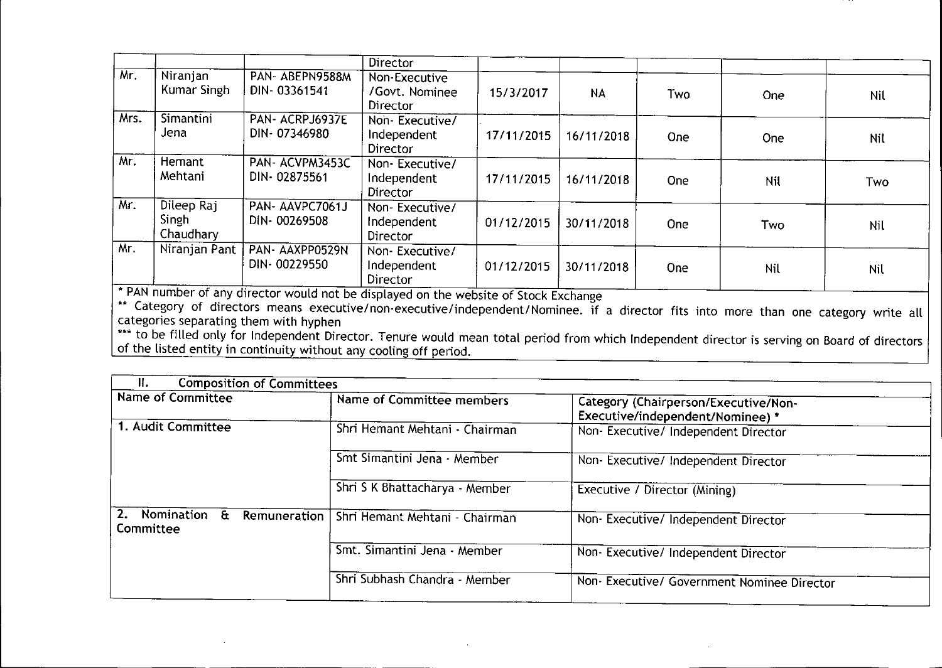|                     |                                                                                                                                                                                                                                                 |                                            | <b>Director</b>                                  |            |            |            |     |            |
|---------------------|-------------------------------------------------------------------------------------------------------------------------------------------------------------------------------------------------------------------------------------------------|--------------------------------------------|--------------------------------------------------|------------|------------|------------|-----|------------|
| Mr.                 | Niranjan<br>Kumar Singh                                                                                                                                                                                                                         | PAN-ABEPN9588M<br>DIN-03361541             | Non-Executive<br>/Govt. Nominee<br>Director      | 15/3/2017  | <b>NA</b>  | Two        | One | Nil        |
| Mrs.                | Simantini<br>Jena                                                                                                                                                                                                                               | PAN-ACRPJ6937E<br>DIN-07346980             | Non-Executive/<br>Independent<br><b>Director</b> | 17/11/2015 | 16/11/2018 | <b>One</b> | One | <b>Nit</b> |
| Mr.                 | Hemant<br>Mehtani                                                                                                                                                                                                                               | PAN-ACVPM3453C<br>DIN-02875561             | Non-Executive/<br>Independent<br>Director        | 17/11/2015 | 16/11/2018 | <b>One</b> | Nil | Two        |
| Mr.                 | Dileep Raj<br>Singh<br>Chaudhary                                                                                                                                                                                                                | PAN-AAVPC7061J<br>DIN-00269508             | Non-Executive/<br>Independent<br><b>Director</b> | 01/12/2015 | 30/11/2018 | One        | Two | Nil        |
| Mr.<br><b>WEART</b> | Niranjan Pant<br>and the contract of the contract of the contract of the contract of the contract of the contract of the contract of the contract of the contract of the contract of the contract of the contract of the contract of the contra | PAN-AAXPP0529N<br>DIN-00229550<br>.<br>. . | Non-Executive/<br>Independent<br><b>Director</b> | 01/12/2015 | 30/11/2018 | One        | Nil | Nil        |

• PAN number of any director would not be displayed on the website of Stock Exchange

••• Category of directors means executive/non-executive/independent/Nominee. if a director fits into more than one category write all categories separating them with hyphen

to be filled only for Independent Director. Tenure would mean total period from which Independent director is serving on Board of director of the listed entity in continuity without any cooling off period.

| Н.<br><b>Composition of Committees</b>          |                                |                                                                          |  |
|-------------------------------------------------|--------------------------------|--------------------------------------------------------------------------|--|
| Name of Committee                               | Name of Committee members      | Category (Chairperson/Executive/Non-<br>Executive/independent/Nominee) * |  |
| 1. Audit Committee                              | Shri Hemant Mehtani - Chairman | Non-Executive/ Independent Director                                      |  |
|                                                 | Smt Simantini Jena - Member    | Non-Executive/ Independent Director                                      |  |
|                                                 | Shri S K Bhattacharya - Member | Executive / Director (Mining)                                            |  |
| 2.<br>Nomination &<br>Remuneration<br>Committee | Shri Hemant Mehtani - Chairman | Non-Executive/ Independent Director                                      |  |
|                                                 | Smt. Simantini Jena - Member   | Non-Executive/ Independent Director                                      |  |
|                                                 | Shri Subhash Chandra - Member  | Non- Executive/ Government Nominee Director                              |  |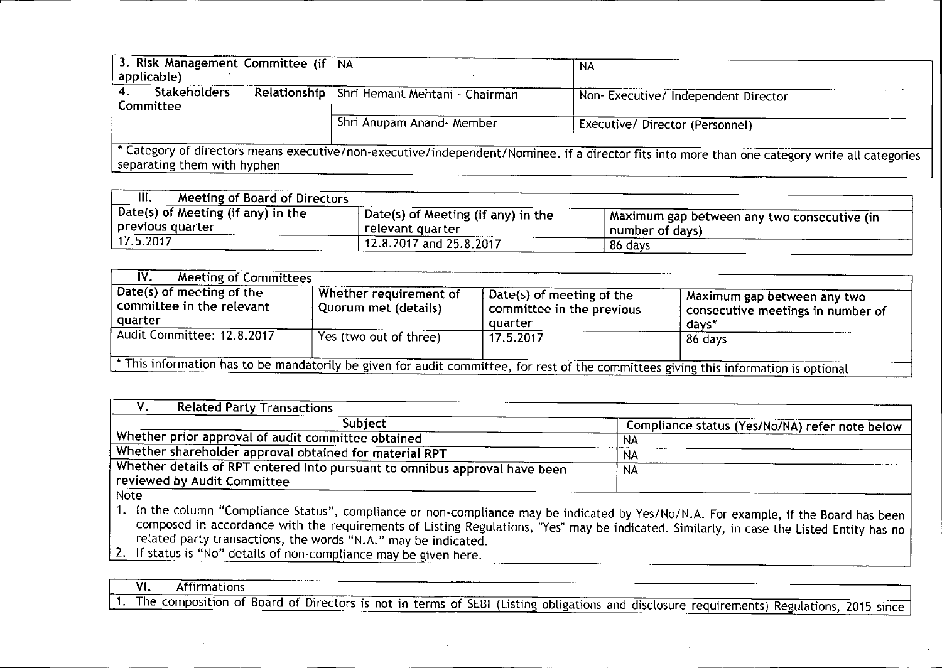| 3. Risk Management Committee (if   NA<br>applicable) |                                               | NA                                                                                                                                             |
|------------------------------------------------------|-----------------------------------------------|------------------------------------------------------------------------------------------------------------------------------------------------|
| <b>Stakeholders</b><br>Committee                     | Relationship   Shri Hemant Mehtani - Chairman | Non- Executive/ Independent Director                                                                                                           |
|                                                      | Shri Anupam Anand- Member                     | Executive/ Director (Personnel)                                                                                                                |
| separating them with hyphen                          |                                               | * Category of directors means executive/non-executive/independent/Nominee. if a director fits into more than one category write all categories |

| III.<br>Meeting of Board of Directors                      |                                                        |                                                                  |
|------------------------------------------------------------|--------------------------------------------------------|------------------------------------------------------------------|
| , Date(s) of Meeting (if any) in the<br>  previous quarter | Date(s) of Meeting (if any) in the<br>relevant quarter | A Maximum gap between any two consecutive (in<br>number of days) |
| 17.5.2017                                                  | 12.8.2017 and 25.8.2017                                | 86 days                                                          |

| IV.<br><b>Meeting of Committees</b>                                                                                                 |                                                |                                                                           |                                                                           |  |  |  |
|-------------------------------------------------------------------------------------------------------------------------------------|------------------------------------------------|---------------------------------------------------------------------------|---------------------------------------------------------------------------|--|--|--|
| Date(s) of meeting of the<br>committee in the relevant<br>quarter                                                                   | Whether requirement of<br>Quorum met (details) | $\beta$ Date(s) of meeting of the<br>committee in the previous<br>quarter | Aaximum gap between any two<br>consecutive meetings in number of<br>days* |  |  |  |
| Audit Committee: 12.8.2017                                                                                                          | Yes (two out of three)                         | 17.5.2017                                                                 | 86 days                                                                   |  |  |  |
| This information has to be mandatorily be given for audit committee, for rest of the committees giving this information is optional |                                                |                                                                           |                                                                           |  |  |  |

| <b>Related Party Transactions</b>                                                                         |                                                |
|-----------------------------------------------------------------------------------------------------------|------------------------------------------------|
| Subject                                                                                                   | Compliance status (Yes/No/NA) refer note below |
| . Whether prior approval of audit committee obtained                                                      | NA                                             |
| Whether shareholder approval obtained for material RPT                                                    | NA                                             |
| Whether details of RPT entered into pursuant to omnibus approval have been<br>reviewed by Audit Committee | NA                                             |
| Note                                                                                                      |                                                |

1. In the column "Compliance Status", compliance or non-compliance may be indicated by Yes/No/N.A. For example, if the Board has been composed in accordance with the requirements of Listing Regulations, "Yes" may be indicated. Similarly, in case the Listed Entity has no related party transactions, the words "N.A." may be indicated.

2. If status is "No" details of non-compliance may be given here.

<u>I VI. Affirmations</u>

I 1. The composition of Board of Directors is not in terms of SEBI (Listing obligations and disclosure requirements) Regulations, 2015 since I

-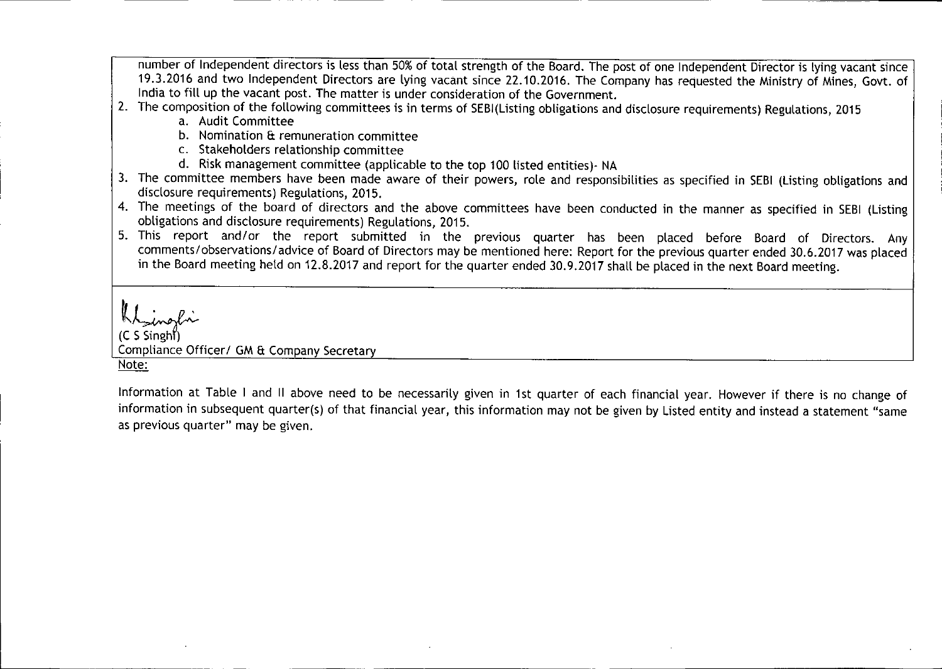number of Independent directors is less than 50% of total strength of the Board. The post of one Independent Director is lying vacant since 19.3.2016 and two Independent Directors are lying vacant since 22.10.2016. The Company has requested the Ministry of Mines, Govt. of India to fill up the vacant post. The matter is under consideration of the Government.

- 2. The composition of the following committees is in terms of SEBI(Listing obligations and disclosure requirements) Regulations, 2015
	- a. Audit Committee
	- b. Nomination & remuneration committee
	- c. Stakeholders relationship committee
	- d. Risk management committee (applicable to the top 100 listed entities)- NA
- 3. The committee members have been made aware of their powers, role and responsibilities as specified in SEBI (Listing obligations and disclosure requirements) Regulations, 2015.
- 4. The meetings of the board of directors and the above committees have been conducted in the manner as specified in SEBI (Listing obligations and disclosure requirements) Regulations, 2015.
- 5. This report and/or the report submitted in the previous quarter has been placed before Board of Directors. Any comments/observations/advice of Board of Directors may be mentioned here: Report for the previous quarter ended 30.6.2017 was placed in the Board meeting held on 12.8.2017 and report for the quarter ended 30.9.2017 shall be placed in the next Board meeting.

Kt\_ingl Compliance Officer/ GM & Company Secretary Note:

Information at Table I and II above need to be necessarily given in 1st quarter of each financial year. However if there is no change of information in subsequent quarter(s) of that financial year, this information may not be given by Listed entity and instead a statement "same as previous quarter" may be given.